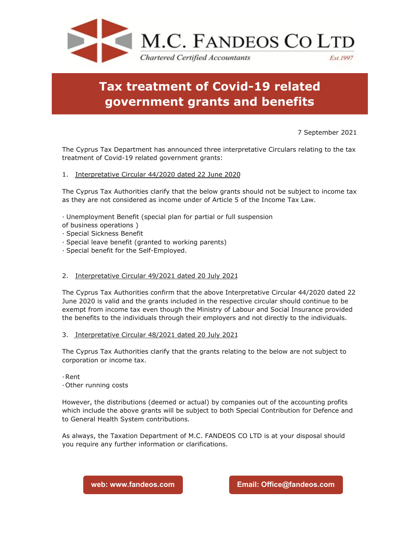

# **Tax treatment of Covid-19 related government grants and benefits**

## 7 September 2021

The Cyprus Tax Department has announced three interpretative Circulars relating to the tax treatment of Covid-19 related government grants:

### 1. Interpretative Circular 44/2020 dated 22 June 2020

The Cyprus Tax Authorities clarify that the below grants should not be subject to income tax as they are not considered as income under of Article 5 of the Income Tax Law.

· Unemployment Benefit (special plan for partial or full suspension

- of business operations )
- · Special Sickness Benefit
- · Special leave benefit (granted to working parents)
- · Special benefit for the Self-Employed.

### 2. Interpretative Circular 49/2021 dated 20 July 2021

The Cyprus Tax Authorities confirm that the above Interpretative Circular 44/2020 dated 22 June 2020 is valid and the grants included in the respective circular should continue to be exempt from income tax even though the Ministry of Labour and Social Insurance provided the benefits to the individuals through their employers and not directly to the individuals.

#### 3. Interpretative Circular 48/2021 dated 20 July 2021

The Cyprus Tax Authorities clarify that the grants relating to the below are not subject to corporation or income tax.

·Rent

·Other running costs

However, the distributions (deemed or actual) by companies out of the accounting profits which include the above grants will be subject to both Special Contribution for Defence and to General Health System contributions.

As always, the Taxation Department of M.C. FANDEOS CO LTD is at your disposal should you require any further information or clarifications.